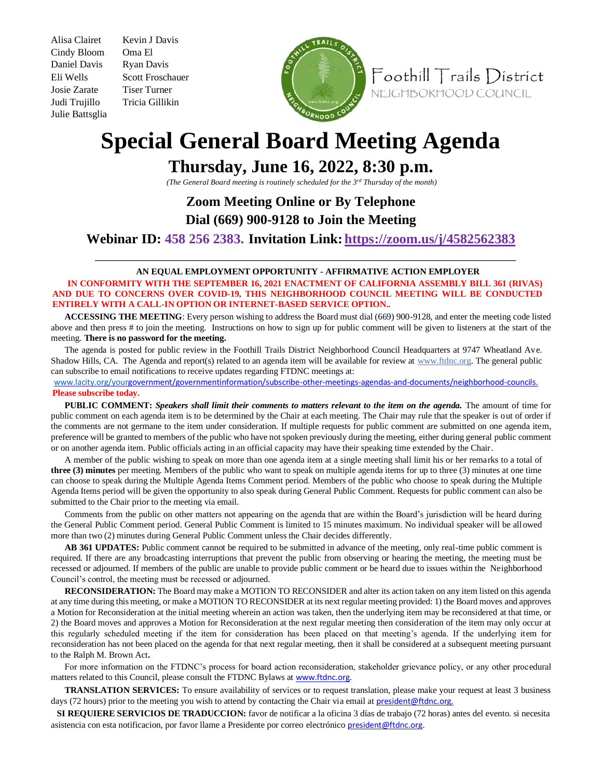Cindy Bloom Oma El Daniel Davis Ryan Davis Josie Zarate Tiser Turner Judi Trujillo Tricia Gillikin Julie Battsglia

Alisa Clairet Kevin J Davis Eli Wells Scott Froschauer



Foothill Trails District NEIGHBORHOOD COUNCIL

## **Special General Board Meeting Agenda**

## **Thursday, June 16, 2022, 8:30 p.m.**

*(The General Board meeting is routinely scheduled for the 3rd Thursday of the month)* 

## **Zoom Meeting Online or By Telephone Dial (669) 900-9128 to Join the Meeting**

**Webinar ID: 458 256 2383. Invitation Link: https://zoom.us/j/4582562383**

## **AN EQUAL EMPLOYMENT OPPORTUNITY - AFFIRMATIVE ACTION EMPLOYER**

**IN CONFORMITY WITH THE SEPTEMBER 16, 2021 ENACTMENT OF CALIFORNIA ASSEMBLY BILL 361 (RIVAS) AND DUE TO CONCERNS OVER COVID-19, THIS NEIGHBORHOOD COUNCIL MEETING WILL BE CONDUCTED ENTIRELY WITH A CALL-IN OPTION OR INTERNET-BASED SERVICE OPTION..** 

**ACCESSING THE MEETING**: Every person wishing to address the Board must dial (669) 900-9128, and enter the meeting code listed above and then press # to join the meeting. Instructions on how to sign up for public comment will be given to listeners at the start of the meeting. **There is no password for the meeting.**

The agenda is posted for public review in the Foothill Trails District Neighborhood Council Headquarters at 9747 Wheatland Ave. Shadow Hills, CA. The Agenda and report(s) related to an agenda item will be available for review at www.ftdnc.org. The general public can subscribe to email notifications to receive updates regarding FTDNC meetings at:

www.lacity.org/yourgovernment/governmentinformation/subscribe-other-meetings-agendas-and-documents/neighborhood-councils. **Please subscribe today.**

**PUBLIC COMMENT:** *Speakers shall limit their comments to matters relevant to the item on the agenda.* The amount of time for public comment on each agenda item is to be determined by the Chair at each meeting. The Chair may rule that the speaker is out of order if the comments are not germane to the item under consideration. If multiple requests for public comment are submitted on one agenda item, preference will be granted to members of the public who have not spoken previously during the meeting, either during general public comment or on another agenda item. Public officials acting in an official capacity may have their speaking time extended by the Chair.

A member of the public wishing to speak on more than one agenda item at a single meeting shall limit his or her remarks to a total of **three (3) minutes** per meeting. Members of the public who want to speak on multiple agenda items for up to three (3) minutes at one time can choose to speak during the Multiple Agenda Items Comment period. Members of the public who choose to speak during the Multiple Agenda Items period will be given the opportunity to also speak during General Public Comment. Requests for public comment can also be submitted to the Chair prior to the meeting via email.

Comments from the public on other matters not appearing on the agenda that are within the Board's jurisdiction will be heard during the General Public Comment period. General Public Comment is limited to 15 minutes maximum. No individual speaker will be allowed more than two (2) minutes during General Public Comment unless the Chair decides differently.

**AB 361 UPDATES:** Public comment cannot be required to be submitted in advance of the meeting, only real-time public comment is required. If there are any broadcasting interruptions that prevent the public from observing or hearing the meeting, the meeting must be recessed or adjourned. If members of the public are unable to provide public comment or be heard due to issues within the Neighborhood Council's control, the meeting must be recessed or adjourned.

**RECONSIDERATION:** The Board may make a MOTION TO RECONSIDER and alter its action taken on any item listed on this agenda at any time during this meeting, or make a MOTION TO RECONSIDER at its next regular meeting provided: 1) the Board moves and approves a Motion for Reconsideration at the initial meeting wherein an action was taken, then the underlying item may be reconsidered at that time, or 2) the Board moves and approves a Motion for Reconsideration at the next regular meeting then consideration of the item may only occur at this regularly scheduled meeting if the item for consideration has been placed on that meeting's agenda. If the underlying item for reconsideration has not been placed on the agenda for that next regular meeting, then it shall be considered at a subsequent meeting pursuant to the Ralph M. Brown Act**.** 

For more information on the FTDNC's process for board action reconsideration, stakeholder grievance policy, or any other procedural matters related to this Council, please consult the FTDNC Bylaws at www.ftdnc.org.

**TRANSLATION SERVICES:** To ensure availability of services or to request translation, please make your request at least 3 business days (72 hours) prior to the meeting you wish to attend by contacting the Chair via email at president@ftdnc.org.

**SI REQUIERE SERVICIOS DE TRADUCCION:** favor de notificar a la oficina 3 días de trabajo (72 horas) antes del evento. si necesita asistencia con esta notificacion, por favor llame a Presidente por correo electrónico president@ftdnc.org.